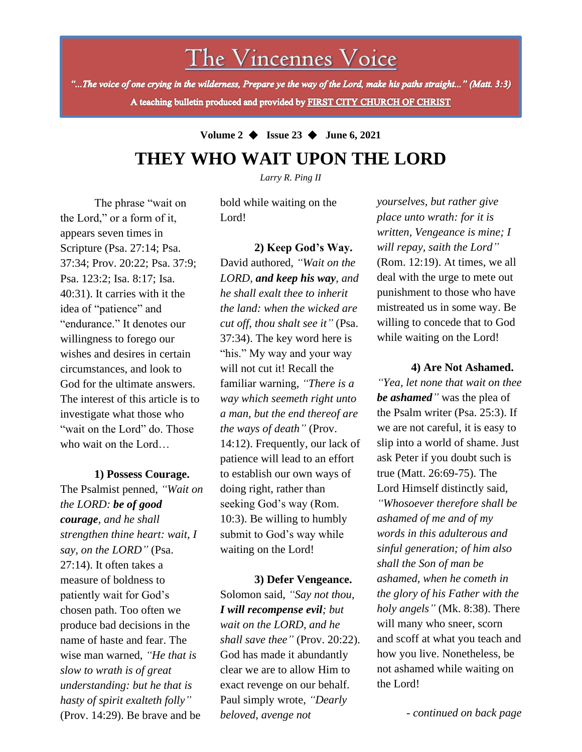# The Vincennes Voice

"...The voice of one crying in the wilderness, Prepare ye the way of the Lord, make his paths straight..." (Matt. 3:3) A teaching bulletin produced and provided by FIRST CITY CHURCH OF CHRIST

# **Volume 2** ◆ **Issue 23** ◆ **June 6, 2021 THEY WHO WAIT UPON THE LORD**

*Larry R. Ping II*

The phrase "wait on the Lord," or a form of it, appears seven times in Scripture (Psa. 27:14; Psa. 37:34; Prov. 20:22; Psa. 37:9; Psa. 123:2; Isa. 8:17; Isa. 40:31). It carries with it the idea of "patience" and "endurance." It denotes our willingness to forego our wishes and desires in certain circumstances, and look to God for the ultimate answers. The interest of this article is to investigate what those who "wait on the Lord" do. Those who wait on the Lord…

#### **1) Possess Courage.**

wise man warned, "He that is The Psalmist penned, *"Wait on the LORD: be of good courage, and he shall strengthen thine heart: wait, I say, on the LORD"* (Psa. 27:14). It often takes a measure of boldness to patiently wait for God's chosen path. Too often we produce bad decisions in the name of haste and fear. The *slow to wrath is of great understanding: but he that is hasty of spirit exalteth folly"*  (Prov. 14:29). Be brave and be

bold while waiting on the Lord!

**2) Keep God's Way.** David authored, *"Wait on the LORD, and keep his way, and he shall exalt thee to inherit the land: when the wicked are cut off, thou shalt see it"* (Psa. 37:34). The key word here is "his." My way and your way will not cut it! Recall the familiar warning, *"There is a way which seemeth right unto a man, but the end thereof are the ways of death"* (Prov. 14:12). Frequently, our lack of patience will lead to an effort to establish our own ways of doing right, rather than seeking God's way (Rom. 10:3). Be willing to humbly submit to God's way while waiting on the Lord!

**3) Defer Vengeance.** Solomon said, *"Say not thou, I will recompense evil; but wait on the LORD, and he shall save thee"* (Prov. 20:22). God has made it abundantly clear we are to allow Him to exact revenge on our behalf. Paul simply wrote, *"Dearly beloved, avenge not* 

*yourselves, but rather give place unto wrath: for it is written, Vengeance is mine; I will repay, saith the Lord"* (Rom. 12:19). At times, we all deal with the urge to mete out punishment to those who have mistreated us in some way. Be willing to concede that to God while waiting on the Lord!

### **4) Are Not Ashamed.**

*"Yea, let none that wait on thee be ashamed"* was the plea of the Psalm writer (Psa. 25:3). If we are not careful, it is easy to slip into a world of shame. Just ask Peter if you doubt such is true (Matt. 26:69-75). The Lord Himself distinctly said, *"Whosoever therefore shall be ashamed of me and of my words in this adulterous and sinful generation; of him also shall the Son of man be ashamed, when he cometh in the glory of his Father with the holy angels"* (Mk. 8:38). There will many who sneer, scorn and scoff at what you teach and how you live. Nonetheless, be not ashamed while waiting on the Lord!

*- continued on back page*